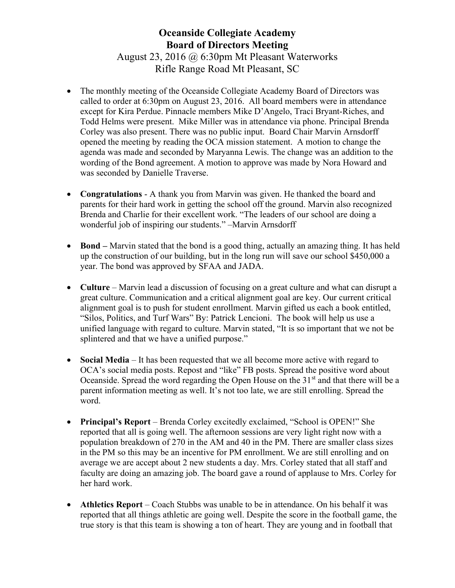## Oceanside Collegiate Academy Board of Directors Meeting August 23, 2016 @ 6:30pm Mt Pleasant Waterworks Rifle Range Road Mt Pleasant, SC

- The monthly meeting of the Oceanside Collegiate Academy Board of Directors was called to order at 6:30pm on August 23, 2016. All board members were in attendance except for Kira Perdue. Pinnacle members Mike D'Angelo, Traci Bryant-Riches, and Todd Helms were present. Mike Miller was in attendance via phone. Principal Brenda Corley was also present. There was no public input. Board Chair Marvin Arnsdorff opened the meeting by reading the OCA mission statement. A motion to change the agenda was made and seconded by Maryanna Lewis. The change was an addition to the wording of the Bond agreement. A motion to approve was made by Nora Howard and was seconded by Danielle Traverse.
- Congratulations A thank you from Marvin was given. He thanked the board and parents for their hard work in getting the school off the ground. Marvin also recognized Brenda and Charlie for their excellent work. "The leaders of our school are doing a wonderful job of inspiring our students." –Marvin Arnsdorff
- Bond Marvin stated that the bond is a good thing, actually an amazing thing. It has held up the construction of our building, but in the long run will save our school \$450,000 a year. The bond was approved by SFAA and JADA.
- Culture Marvin lead a discussion of focusing on a great culture and what can disrupt a great culture. Communication and a critical alignment goal are key. Our current critical alignment goal is to push for student enrollment. Marvin gifted us each a book entitled, "Silos, Politics, and Turf Wars" By: Patrick Lencioni. The book will help us use a unified language with regard to culture. Marvin stated, "It is so important that we not be splintered and that we have a unified purpose."
- Social Media It has been requested that we all become more active with regard to OCA's social media posts. Repost and "like" FB posts. Spread the positive word about Oceanside. Spread the word regarding the Open House on the  $31<sup>st</sup>$  and that there will be a parent information meeting as well. It's not too late, we are still enrolling. Spread the word.
- Principal's Report Brenda Corley excitedly exclaimed, "School is OPEN!" She reported that all is going well. The afternoon sessions are very light right now with a population breakdown of 270 in the AM and 40 in the PM. There are smaller class sizes in the PM so this may be an incentive for PM enrollment. We are still enrolling and on average we are accept about 2 new students a day. Mrs. Corley stated that all staff and faculty are doing an amazing job. The board gave a round of applause to Mrs. Corley for her hard work.
- Athletics Report Coach Stubbs was unable to be in attendance. On his behalf it was reported that all things athletic are going well. Despite the score in the football game, the true story is that this team is showing a ton of heart. They are young and in football that